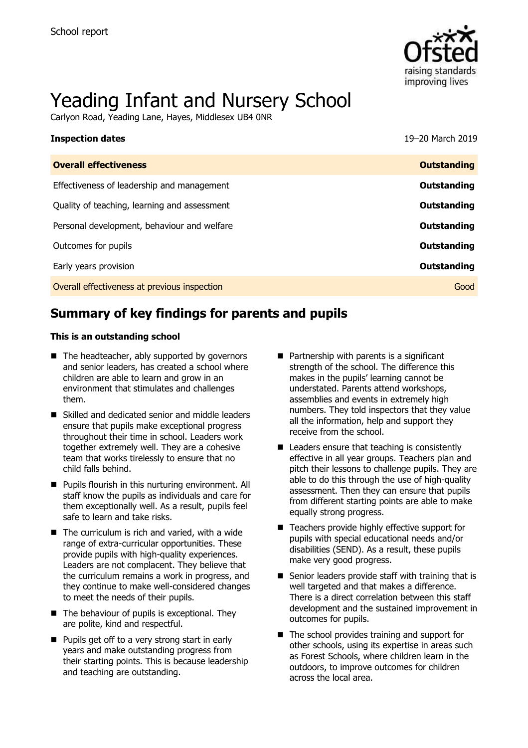

# Yeading Infant and Nursery School

Carlyon Road, Yeading Lane, Hayes, Middlesex UB4 0NR

| <b>Inspection dates</b>                      | 19-20 March 2019   |
|----------------------------------------------|--------------------|
| <b>Overall effectiveness</b>                 | <b>Outstanding</b> |
| Effectiveness of leadership and management   | Outstanding        |
| Quality of teaching, learning and assessment | Outstanding        |
| Personal development, behaviour and welfare  | Outstanding        |
| Outcomes for pupils                          | Outstanding        |
| Early years provision                        | Outstanding        |
| Overall effectiveness at previous inspection | Good               |

# **Summary of key findings for parents and pupils**

### **This is an outstanding school**

- The headteacher, ably supported by governors and senior leaders, has created a school where children are able to learn and grow in an environment that stimulates and challenges them.
- Skilled and dedicated senior and middle leaders ensure that pupils make exceptional progress throughout their time in school. Leaders work together extremely well. They are a cohesive team that works tirelessly to ensure that no child falls behind.
- Pupils flourish in this nurturing environment. All staff know the pupils as individuals and care for them exceptionally well. As a result, pupils feel safe to learn and take risks.
- $\blacksquare$  The curriculum is rich and varied, with a wide range of extra-curricular opportunities. These provide pupils with high-quality experiences. Leaders are not complacent. They believe that the curriculum remains a work in progress, and they continue to make well-considered changes to meet the needs of their pupils.
- The behaviour of pupils is exceptional. They are polite, kind and respectful.
- Pupils get off to a very strong start in early years and make outstanding progress from their starting points. This is because leadership and teaching are outstanding.
- Partnership with parents is a significant strength of the school. The difference this makes in the pupils' learning cannot be understated. Parents attend workshops, assemblies and events in extremely high numbers. They told inspectors that they value all the information, help and support they receive from the school.
- Leaders ensure that teaching is consistently effective in all year groups. Teachers plan and pitch their lessons to challenge pupils. They are able to do this through the use of high-quality assessment. Then they can ensure that pupils from different starting points are able to make equally strong progress.
- Teachers provide highly effective support for pupils with special educational needs and/or disabilities (SEND). As a result, these pupils make very good progress.
- Senior leaders provide staff with training that is well targeted and that makes a difference. There is a direct correlation between this staff development and the sustained improvement in outcomes for pupils.
- The school provides training and support for other schools, using its expertise in areas such as Forest Schools, where children learn in the outdoors, to improve outcomes for children across the local area.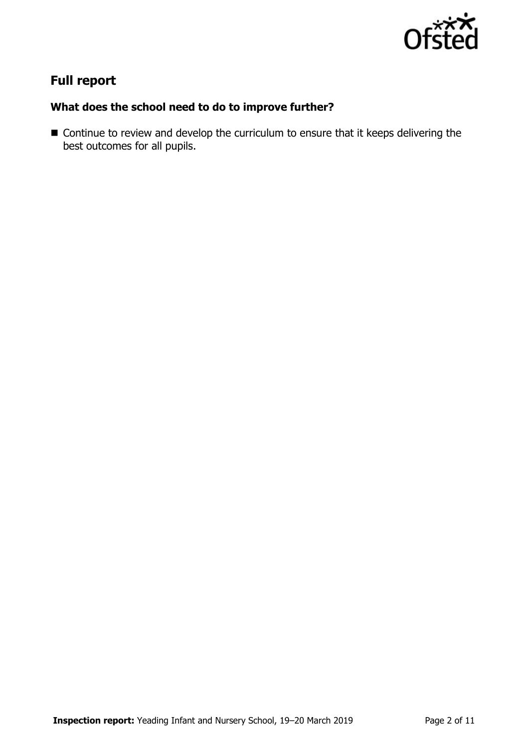

# **Full report**

### **What does the school need to do to improve further?**

■ Continue to review and develop the curriculum to ensure that it keeps delivering the best outcomes for all pupils.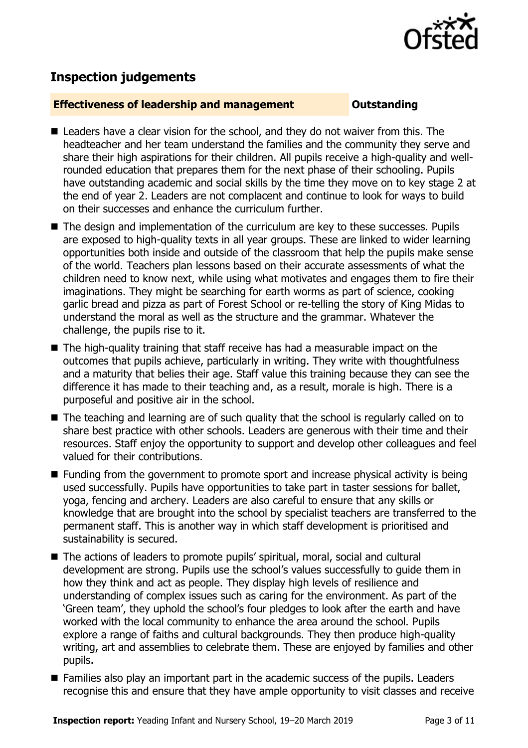

# **Inspection judgements**

### **Effectiveness of leadership and management Outstanding**

- Leaders have a clear vision for the school, and they do not waiver from this. The headteacher and her team understand the families and the community they serve and share their high aspirations for their children. All pupils receive a high-quality and wellrounded education that prepares them for the next phase of their schooling. Pupils have outstanding academic and social skills by the time they move on to key stage 2 at the end of year 2. Leaders are not complacent and continue to look for ways to build on their successes and enhance the curriculum further.
- The design and implementation of the curriculum are key to these successes. Pupils are exposed to high-quality texts in all year groups. These are linked to wider learning opportunities both inside and outside of the classroom that help the pupils make sense of the world. Teachers plan lessons based on their accurate assessments of what the children need to know next, while using what motivates and engages them to fire their imaginations. They might be searching for earth worms as part of science, cooking garlic bread and pizza as part of Forest School or re-telling the story of King Midas to understand the moral as well as the structure and the grammar. Whatever the challenge, the pupils rise to it.
- $\blacksquare$  The high-quality training that staff receive has had a measurable impact on the outcomes that pupils achieve, particularly in writing. They write with thoughtfulness and a maturity that belies their age. Staff value this training because they can see the difference it has made to their teaching and, as a result, morale is high. There is a purposeful and positive air in the school.
- The teaching and learning are of such quality that the school is regularly called on to share best practice with other schools. Leaders are generous with their time and their resources. Staff enjoy the opportunity to support and develop other colleagues and feel valued for their contributions.
- Funding from the government to promote sport and increase physical activity is being used successfully. Pupils have opportunities to take part in taster sessions for ballet, yoga, fencing and archery. Leaders are also careful to ensure that any skills or knowledge that are brought into the school by specialist teachers are transferred to the permanent staff. This is another way in which staff development is prioritised and sustainability is secured.
- The actions of leaders to promote pupils' spiritual, moral, social and cultural development are strong. Pupils use the school's values successfully to guide them in how they think and act as people. They display high levels of resilience and understanding of complex issues such as caring for the environment. As part of the 'Green team', they uphold the school's four pledges to look after the earth and have worked with the local community to enhance the area around the school. Pupils explore a range of faiths and cultural backgrounds. They then produce high-quality writing, art and assemblies to celebrate them. These are enjoyed by families and other pupils.
- Families also play an important part in the academic success of the pupils. Leaders recognise this and ensure that they have ample opportunity to visit classes and receive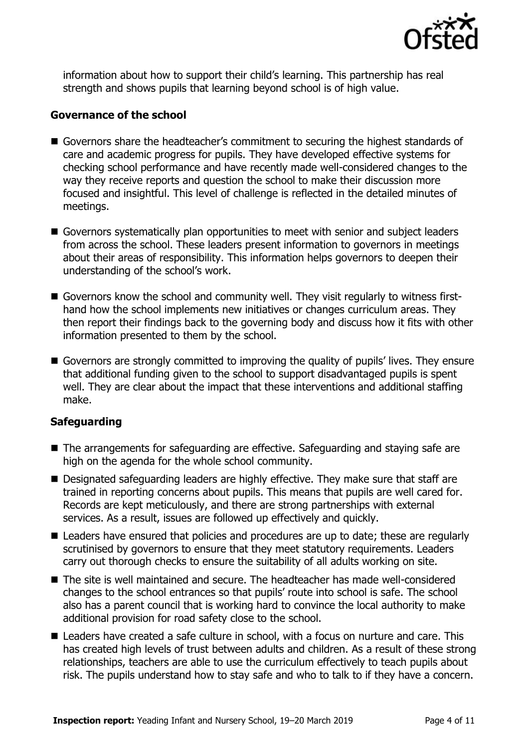

information about how to support their child's learning. This partnership has real strength and shows pupils that learning beyond school is of high value.

### **Governance of the school**

- Governors share the headteacher's commitment to securing the highest standards of care and academic progress for pupils. They have developed effective systems for checking school performance and have recently made well-considered changes to the way they receive reports and question the school to make their discussion more focused and insightful. This level of challenge is reflected in the detailed minutes of meetings.
- Governors systematically plan opportunities to meet with senior and subject leaders from across the school. These leaders present information to governors in meetings about their areas of responsibility. This information helps governors to deepen their understanding of the school's work.
- Governors know the school and community well. They visit reqularly to witness firsthand how the school implements new initiatives or changes curriculum areas. They then report their findings back to the governing body and discuss how it fits with other information presented to them by the school.
- Governors are strongly committed to improving the quality of pupils' lives. They ensure that additional funding given to the school to support disadvantaged pupils is spent well. They are clear about the impact that these interventions and additional staffing make.

### **Safeguarding**

- The arrangements for safeguarding are effective. Safeguarding and staving safe are high on the agenda for the whole school community.
- Designated safeguarding leaders are highly effective. They make sure that staff are trained in reporting concerns about pupils. This means that pupils are well cared for. Records are kept meticulously, and there are strong partnerships with external services. As a result, issues are followed up effectively and quickly.
- Leaders have ensured that policies and procedures are up to date; these are regularly scrutinised by governors to ensure that they meet statutory requirements. Leaders carry out thorough checks to ensure the suitability of all adults working on site.
- The site is well maintained and secure. The headteacher has made well-considered changes to the school entrances so that pupils' route into school is safe. The school also has a parent council that is working hard to convince the local authority to make additional provision for road safety close to the school.
- Leaders have created a safe culture in school, with a focus on nurture and care. This has created high levels of trust between adults and children. As a result of these strong relationships, teachers are able to use the curriculum effectively to teach pupils about risk. The pupils understand how to stay safe and who to talk to if they have a concern.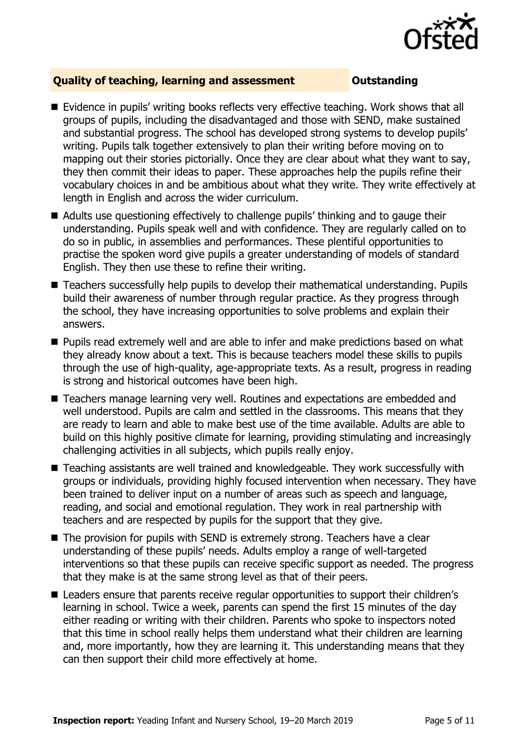

### **Quality of teaching, learning and assessment Outstanding**

- Evidence in pupils' writing books reflects very effective teaching. Work shows that all groups of pupils, including the disadvantaged and those with SEND, make sustained and substantial progress. The school has developed strong systems to develop pupils' writing. Pupils talk together extensively to plan their writing before moving on to mapping out their stories pictorially. Once they are clear about what they want to say, they then commit their ideas to paper. These approaches help the pupils refine their vocabulary choices in and be ambitious about what they write. They write effectively at length in English and across the wider curriculum.
- Adults use questioning effectively to challenge pupils' thinking and to gauge their understanding. Pupils speak well and with confidence. They are regularly called on to do so in public, in assemblies and performances. These plentiful opportunities to practise the spoken word give pupils a greater understanding of models of standard English. They then use these to refine their writing.
- Teachers successfully help pupils to develop their mathematical understanding. Pupils build their awareness of number through regular practice. As they progress through the school, they have increasing opportunities to solve problems and explain their answers.
- Pupils read extremely well and are able to infer and make predictions based on what they already know about a text. This is because teachers model these skills to pupils through the use of high-quality, age-appropriate texts. As a result, progress in reading is strong and historical outcomes have been high.
- Teachers manage learning very well. Routines and expectations are embedded and well understood. Pupils are calm and settled in the classrooms. This means that they are ready to learn and able to make best use of the time available. Adults are able to build on this highly positive climate for learning, providing stimulating and increasingly challenging activities in all subjects, which pupils really enjoy.
- Teaching assistants are well trained and knowledgeable. They work successfully with groups or individuals, providing highly focused intervention when necessary. They have been trained to deliver input on a number of areas such as speech and language, reading, and social and emotional regulation. They work in real partnership with teachers and are respected by pupils for the support that they give.
- The provision for pupils with SEND is extremely strong. Teachers have a clear understanding of these pupils' needs. Adults employ a range of well-targeted interventions so that these pupils can receive specific support as needed. The progress that they make is at the same strong level as that of their peers.
- Leaders ensure that parents receive regular opportunities to support their children's learning in school. Twice a week, parents can spend the first 15 minutes of the day either reading or writing with their children. Parents who spoke to inspectors noted that this time in school really helps them understand what their children are learning and, more importantly, how they are learning it. This understanding means that they can then support their child more effectively at home.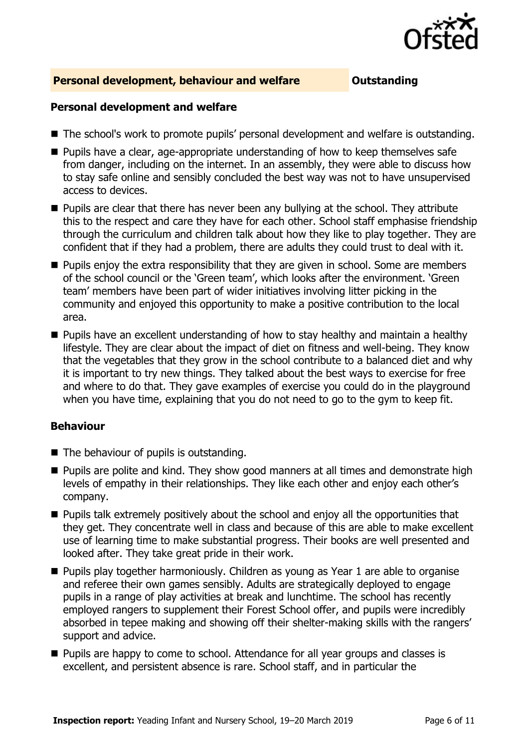

### **Personal development, behaviour and welfare <b>COUTS** Outstanding

### **Personal development and welfare**

- The school's work to promote pupils' personal development and welfare is outstanding.
- Pupils have a clear, age-appropriate understanding of how to keep themselves safe from danger, including on the internet. In an assembly, they were able to discuss how to stay safe online and sensibly concluded the best way was not to have unsupervised access to devices.
- Pupils are clear that there has never been any bullying at the school. They attribute this to the respect and care they have for each other. School staff emphasise friendship through the curriculum and children talk about how they like to play together. They are confident that if they had a problem, there are adults they could trust to deal with it.
- Pupils enjoy the extra responsibility that they are given in school. Some are members of the school council or the 'Green team', which looks after the environment. 'Green team' members have been part of wider initiatives involving litter picking in the community and enjoyed this opportunity to make a positive contribution to the local area.
- Pupils have an excellent understanding of how to stay healthy and maintain a healthy lifestyle. They are clear about the impact of diet on fitness and well-being. They know that the vegetables that they grow in the school contribute to a balanced diet and why it is important to try new things. They talked about the best ways to exercise for free and where to do that. They gave examples of exercise you could do in the playground when you have time, explaining that you do not need to go to the gym to keep fit.

### **Behaviour**

- The behaviour of pupils is outstanding.
- Pupils are polite and kind. They show good manners at all times and demonstrate high levels of empathy in their relationships. They like each other and enjoy each other's company.
- Pupils talk extremely positively about the school and enjoy all the opportunities that they get. They concentrate well in class and because of this are able to make excellent use of learning time to make substantial progress. Their books are well presented and looked after. They take great pride in their work.
- Pupils play together harmoniously. Children as young as Year 1 are able to organise and referee their own games sensibly. Adults are strategically deployed to engage pupils in a range of play activities at break and lunchtime. The school has recently employed rangers to supplement their Forest School offer, and pupils were incredibly absorbed in tepee making and showing off their shelter-making skills with the rangers' support and advice.
- Pupils are happy to come to school. Attendance for all year groups and classes is excellent, and persistent absence is rare. School staff, and in particular the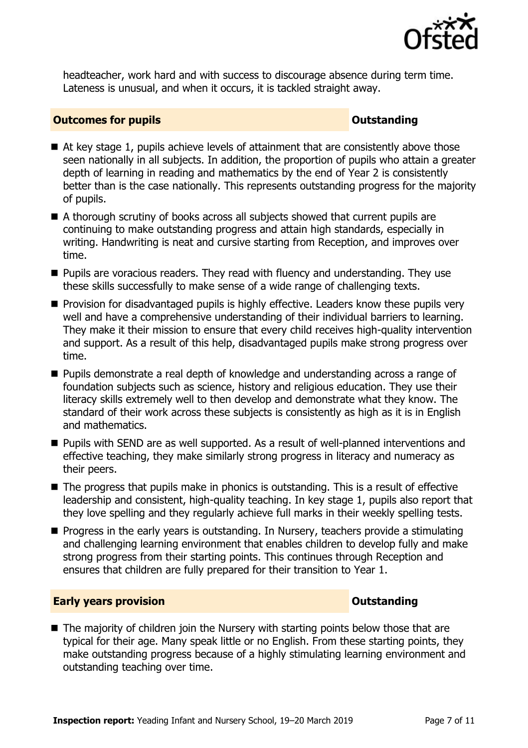

headteacher, work hard and with success to discourage absence during term time. Lateness is unusual, and when it occurs, it is tackled straight away.

### **Outcomes for pupils Outstanding**

- $\blacksquare$  At key stage 1, pupils achieve levels of attainment that are consistently above those seen nationally in all subjects. In addition, the proportion of pupils who attain a greater depth of learning in reading and mathematics by the end of Year 2 is consistently better than is the case nationally. This represents outstanding progress for the majority of pupils.
- A thorough scrutiny of books across all subjects showed that current pupils are continuing to make outstanding progress and attain high standards, especially in writing. Handwriting is neat and cursive starting from Reception, and improves over time.
- Pupils are voracious readers. They read with fluency and understanding. They use these skills successfully to make sense of a wide range of challenging texts.
- Provision for disadvantaged pupils is highly effective. Leaders know these pupils very well and have a comprehensive understanding of their individual barriers to learning. They make it their mission to ensure that every child receives high-quality intervention and support. As a result of this help, disadvantaged pupils make strong progress over time.
- Pupils demonstrate a real depth of knowledge and understanding across a range of foundation subjects such as science, history and religious education. They use their literacy skills extremely well to then develop and demonstrate what they know. The standard of their work across these subjects is consistently as high as it is in English and mathematics.
- Pupils with SEND are as well supported. As a result of well-planned interventions and effective teaching, they make similarly strong progress in literacy and numeracy as their peers.
- The progress that pupils make in phonics is outstanding. This is a result of effective leadership and consistent, high-quality teaching. In key stage 1, pupils also report that they love spelling and they regularly achieve full marks in their weekly spelling tests.
- Progress in the early years is outstanding. In Nursery, teachers provide a stimulating and challenging learning environment that enables children to develop fully and make strong progress from their starting points. This continues through Reception and ensures that children are fully prepared for their transition to Year 1.

### **Early years provision CONSTANDING TO A RESEARCH CONSTANDING TO A RESEARCH CONSTANDING TO A RESEARCH CONSTANDING TO A RESEARCH CONSTANDING TO A RESEARCH CONSTANDING TO A RESEARCH CONSTANDING TO A RESEARCH CONSTANDING TO**

■ The majority of children join the Nursery with starting points below those that are typical for their age. Many speak little or no English. From these starting points, they make outstanding progress because of a highly stimulating learning environment and outstanding teaching over time.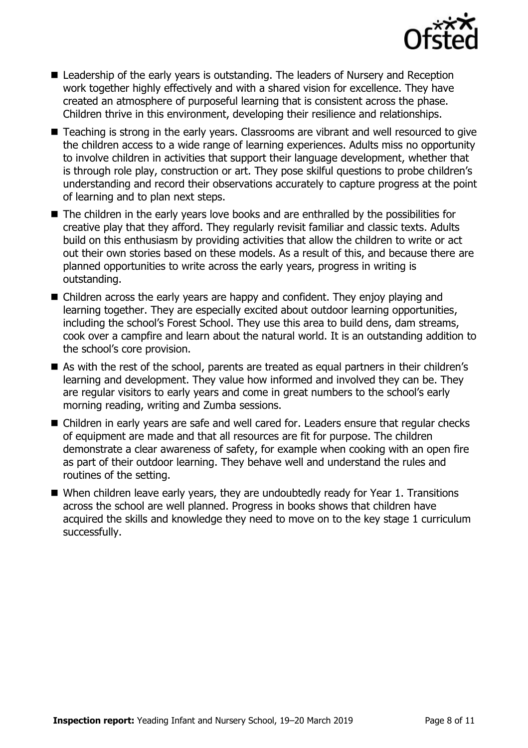

- Leadership of the early years is outstanding. The leaders of Nursery and Reception work together highly effectively and with a shared vision for excellence. They have created an atmosphere of purposeful learning that is consistent across the phase. Children thrive in this environment, developing their resilience and relationships.
- Teaching is strong in the early years. Classrooms are vibrant and well resourced to give the children access to a wide range of learning experiences. Adults miss no opportunity to involve children in activities that support their language development, whether that is through role play, construction or art. They pose skilful questions to probe children's understanding and record their observations accurately to capture progress at the point of learning and to plan next steps.
- The children in the early years love books and are enthralled by the possibilities for creative play that they afford. They regularly revisit familiar and classic texts. Adults build on this enthusiasm by providing activities that allow the children to write or act out their own stories based on these models. As a result of this, and because there are planned opportunities to write across the early years, progress in writing is outstanding.
- Children across the early years are happy and confident. They enjoy playing and learning together. They are especially excited about outdoor learning opportunities, including the school's Forest School. They use this area to build dens, dam streams, cook over a campfire and learn about the natural world. It is an outstanding addition to the school's core provision.
- As with the rest of the school, parents are treated as equal partners in their children's learning and development. They value how informed and involved they can be. They are regular visitors to early years and come in great numbers to the school's early morning reading, writing and Zumba sessions.
- Children in early years are safe and well cared for. Leaders ensure that regular checks of equipment are made and that all resources are fit for purpose. The children demonstrate a clear awareness of safety, for example when cooking with an open fire as part of their outdoor learning. They behave well and understand the rules and routines of the setting.
- When children leave early years, they are undoubtedly ready for Year 1. Transitions across the school are well planned. Progress in books shows that children have acquired the skills and knowledge they need to move on to the key stage 1 curriculum successfully.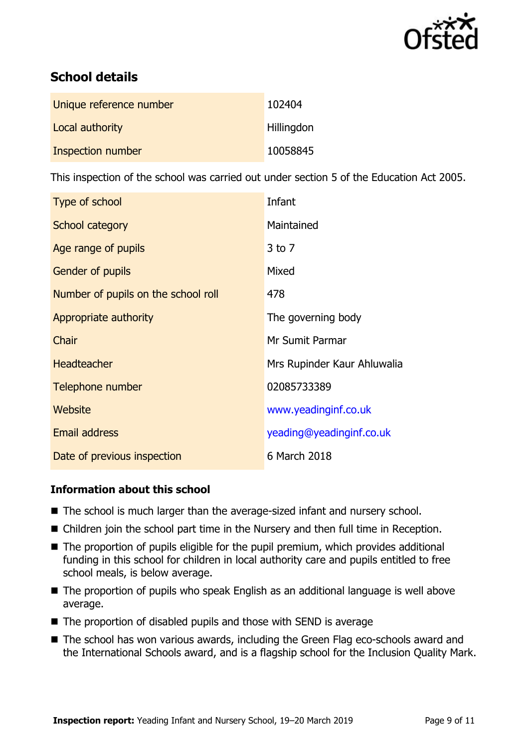

# **School details**

| Unique reference number | 102404     |
|-------------------------|------------|
| Local authority         | Hillingdon |
| Inspection number       | 10058845   |

This inspection of the school was carried out under section 5 of the Education Act 2005.

| Type of school                      | Infant                      |
|-------------------------------------|-----------------------------|
| School category                     | Maintained                  |
| Age range of pupils                 | $3$ to $7$                  |
| Gender of pupils                    | Mixed                       |
| Number of pupils on the school roll | 478                         |
| Appropriate authority               | The governing body          |
| Chair                               | Mr Sumit Parmar             |
| <b>Headteacher</b>                  | Mrs Rupinder Kaur Ahluwalia |
| Telephone number                    | 02085733389                 |
| Website                             | www.yeadinginf.co.uk        |
| <b>Email address</b>                | yeading@yeadinginf.co.uk    |
| Date of previous inspection         | 6 March 2018                |

### **Information about this school**

- The school is much larger than the average-sized infant and nursery school.
- Children join the school part time in the Nursery and then full time in Reception.
- The proportion of pupils eligible for the pupil premium, which provides additional funding in this school for children in local authority care and pupils entitled to free school meals, is below average.
- The proportion of pupils who speak English as an additional language is well above average.
- $\blacksquare$  The proportion of disabled pupils and those with SEND is average
- The school has won various awards, including the Green Flag eco-schools award and the International Schools award, and is a flagship school for the Inclusion Quality Mark.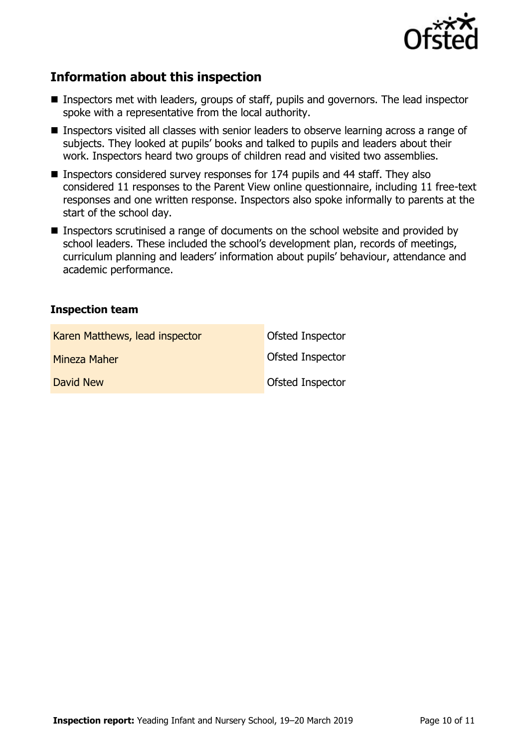

# **Information about this inspection**

- Inspectors met with leaders, groups of staff, pupils and governors. The lead inspector spoke with a representative from the local authority.
- Inspectors visited all classes with senior leaders to observe learning across a range of subjects. They looked at pupils' books and talked to pupils and leaders about their work. Inspectors heard two groups of children read and visited two assemblies.
- $\blacksquare$  Inspectors considered survey responses for 174 pupils and 44 staff. They also considered 11 responses to the Parent View online questionnaire, including 11 free-text responses and one written response. Inspectors also spoke informally to parents at the start of the school day.
- Inspectors scrutinised a range of documents on the school website and provided by school leaders. These included the school's development plan, records of meetings, curriculum planning and leaders' information about pupils' behaviour, attendance and academic performance.

### **Inspection team**

| Karen Matthews, lead inspector | <b>Ofsted Inspector</b> |
|--------------------------------|-------------------------|
| Mineza Maher                   | <b>Ofsted Inspector</b> |
| David New                      | Ofsted Inspector        |